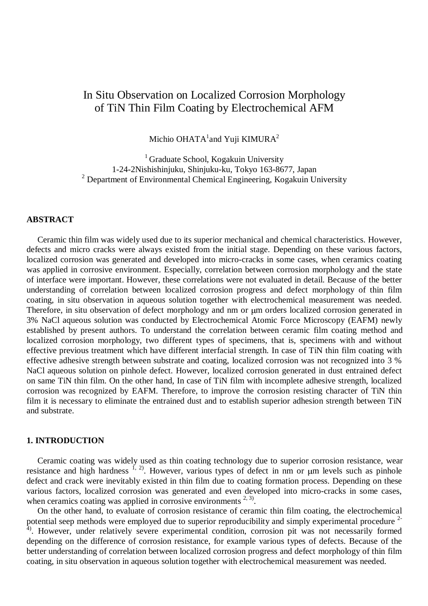# In Situ Observation on Localized Corrosion Morphology of TiN Thin Film Coating by Electrochemical AFM

Michio OHATA $^1$ and Yuji KIMURA $^2$ 

<sup>1</sup> Graduate School, Kogakuin University 1-24-2Nishishinjuku, Shinjuku-ku, Tokyo 163-8677, Japan  $2$  Department of Environmental Chemical Engineering, Kogakuin University

### **ABSTRACT**

 Ceramic thin film was widely used due to its superior mechanical and chemical characteristics. However, defects and micro cracks were always existed from the initial stage. Depending on these various factors, localized corrosion was generated and developed into micro-cracks in some cases, when ceramics coating was applied in corrosive environment. Especially, correlation between corrosion morphology and the state of interface were important. However, these correlations were not evaluated in detail. Because of the better understanding of correlation between localized corrosion progress and defect morphology of thin film coating, in situ observation in aqueous solution together with electrochemical measurement was needed. Therefore, in situ observation of defect morphology and nm or um orders localized corrosion generated in 3% NaCl aqueous solution was conducted by Electrochemical Atomic Force Microscopy (EAFM) newly established by present authors. To understand the correlation between ceramic film coating method and localized corrosion morphology, two different types of specimens, that is, specimens with and without effective previous treatment which have different interfacial strength. In case of TiN thin film coating with effective adhesive strength between substrate and coating, localized corrosion was not recognized into 3 % NaCl aqueous solution on pinhole defect. However, localized corrosion generated in dust entrained defect on same TiN thin film. On the other hand, In case of TiN film with incomplete adhesive strength, localized corrosion was recognized by EAFM. Therefore, to improve the corrosion resisting character of TiN thin film it is necessary to eliminate the entrained dust and to establish superior adhesion strength between TiN and substrate.

#### **1. INTRODUCTION**

 Ceramic coating was widely used as thin coating technology due to superior corrosion resistance, wear resistance and high hardness  $\frac{1}{2}$ . However, various types of defect in nm or  $\mu$ m levels such as pinhole defect and crack were inevitably existed in thin film due to coating formation process. Depending on these various factors, localized corrosion was generated and even developed into micro-cracks in some cases, when ceramics coating was applied in corrosive environments  $2, 3$ .

 On the other hand, to evaluate of corrosion resistance of ceramic thin film coating, the electrochemical potential seep methods were employed due to superior reproducibility and simply experimental procedure <sup>2-</sup> <sup>4)</sup>. However, under relatively severe experimental condition, corrosion pit was not necessarily formed depending on the difference of corrosion resistance, for example various types of defects. Because of the better understanding of correlation between localized corrosion progress and defect morphology of thin film coating, in situ observation in aqueous solution together with electrochemical measurement was needed.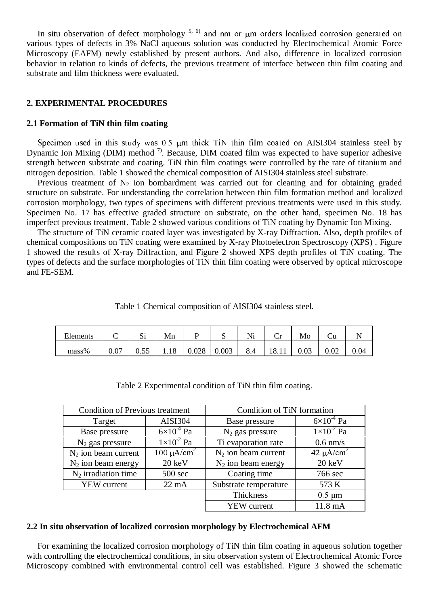In situ observation of defect morphology  $5, 6$  and nm or  $\mu$ m orders localized corrosion generated on various types of defects in 3% NaCl aqueous solution was conducted by Electrochemical Atomic Force Microscopy (EAFM) newly established by present authors. And also, difference in localized corrosion behavior in relation to kinds of defects, the previous treatment of interface between thin film coating and substrate and film thickness were evaluated.

# **2. EXPERIMENTAL PROCEDURES**

# **2.1 Formation of TiN thin film coating**

Specimen used in this study was  $0.5 \mu m$  thick TiN thin film coated on AISI304 stainless steel by Dynamic Ion Mixing (DIM) method  $\frac{7}{1}$ . Because, DIM coated film was expected to have superior adhesive strength between substrate and coating. TiN thin film coatings were controlled by the rate of titanium and nitrogen deposition. Table 1 showed the chemical composition of AISI304 stainless steel substrate.

Previous treatment of  $N_2$  ion bombardment was carried out for cleaning and for obtaining graded structure on substrate. For understanding the correlation between thin film formation method and localized corrosion morphology, two types of specimens with different previous treatments were used in this study. Specimen No. 17 has effective graded structure on substrate, on the other hand, specimen No. 18 has imperfect previous treatment. Table 2 showed various conditions of TiN coating by Dynamic Ion Mixing.

 The structure of TiN ceramic coated layer was investigated by X-ray Diffraction. Also, depth profiles of chemical compositions on TiN coating were examined by X-ray Photoelectron Spectroscopy (XPS) . Figure 1 showed the results of X-ray Diffraction, and Figure 2 showed XPS depth profiles of TiN coating. The types of defects and the surface morphologies of TiN thin film coating were observed by optical microscope and FE-SEM.

Table 1 Chemical composition of AISI304 stainless steel.

| Elements | ◡    | $\sim$<br>ιυ | Mn |       | N     | Ni  | ◡     | <b>NIO</b> | ∪u   |      |
|----------|------|--------------|----|-------|-------|-----|-------|------------|------|------|
| mass%    | 0.07 | U.JJ         |    | 0.028 | 0.003 | 8.4 | 18.11 | U.UJ       | 0.02 | 0.04 |

| <b>Condition of Previous treatment</b> |                             | Condition of TiN formation |                       |  |  |
|----------------------------------------|-----------------------------|----------------------------|-----------------------|--|--|
| Target                                 | <b>AISI304</b>              | Base pressure              | $6 \times 10^{-4}$ Pa |  |  |
| Base pressure                          | $6\times10^{-4}$ Pa         | $N_2$ gas pressure         | $1 \times 10^{-2}$ Pa |  |  |
| $N_2$ gas pressure                     | $1\times10^{-2}$ Pa         | Ti evaporation rate        | $0.6$ nm/s            |  |  |
| $N_2$ ion beam current                 | 100 $\mu$ A/cm <sup>2</sup> | $N_2$ ion beam current     | $42 \mu A/cm^2$       |  |  |
| $N_2$ ion beam energy                  | $20 \text{ keV}$            | $N_2$ ion beam energy      | $20 \text{ keV}$      |  |  |
| $N_2$ irradiation time                 | $500 \text{ sec}$           | Coating time               | 766 sec               |  |  |
| <b>YEW</b> current                     | $22 \text{ mA}$             | Substrate temperature      | 573 K                 |  |  |
|                                        |                             | Thickness                  | $0.5 \mu m$           |  |  |
|                                        |                             | <b>YEW</b> current         | 11.8 mA               |  |  |

Table 2 Experimental condition of TiN thin film coating.

#### **2.2 In situ observation of localized corrosion morphology by Electrochemical AFM**

 For examining the localized corrosion morphology of TiN thin film coating in aqueous solution together with controlling the electrochemical conditions, in situ observation system of Electrochemical Atomic Force Microscopy combined with environmental control cell was established. Figure 3 showed the schematic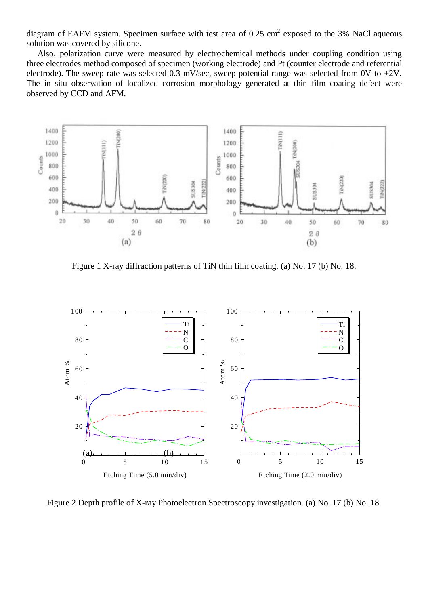diagram of EAFM system. Specimen surface with test area of 0.25 cm<sup>2</sup> exposed to the 3% NaCl aqueous solution was covered by silicone.

 Also, polarization curve were measured by electrochemical methods under coupling condition using three electrodes method composed of specimen (working electrode) and Pt (counter electrode and referential electrode). The sweep rate was selected 0.3 mV/sec, sweep potential range was selected from 0V to +2V. The in situ observation of localized corrosion morphology generated at thin film coating defect were observed by CCD and AFM.



Figure 1 X-ray diffraction patterns of TiN thin film coating. (a) No. 17 (b) No. 18.



Figure 2 Depth profile of X-ray Photoelectron Spectroscopy investigation. (a) No. 17 (b) No. 18.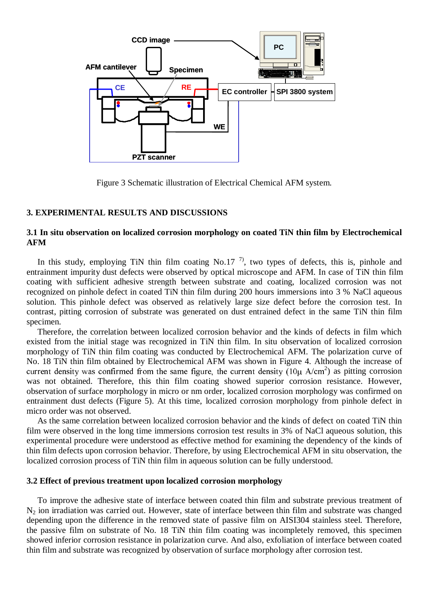

Figure 3 Schematic illustration of Electrical Chemical AFM system.

# **3. EXPERIMENTAL RESULTS AND DISCUSSIONS**

# **3.1 In situ observation on localized corrosion morphology on coated TiN thin film by Electrochemical AFM**

In this study, employing TiN thin film coating No.17<sup>7</sup>, two types of defects, this is, pinhole and entrainment impurity dust defects were observed by optical microscope and AFM. In case of TiN thin film coating with sufficient adhesive strength between substrate and coating, localized corrosion was not recognized on pinhole defect in coated TiN thin film during 200 hours immersions into 3 % NaCl aqueous solution. This pinhole defect was observed as relatively large size defect before the corrosion test. In contrast, pitting corrosion of substrate was generated on dust entrained defect in the same TiN thin film specimen.

 Therefore, the correlation between localized corrosion behavior and the kinds of defects in film which existed from the initial stage was recognized in TiN thin film. In situ observation of localized corrosion morphology of TiN thin film coating was conducted by Electrochemical AFM. The polarization curve of No. 18 TiN thin film obtained by Electrochemical AFM was shown in Figure 4. Although the increase of current density was confirmed from the same figure, the current density  $(10\mu \text{ A/cm}^2)$  as pitting corrosion was not obtained. Therefore, this thin film coating showed superior corrosion resistance. However, observation of surface morphology in micro or nm order, localized corrosion morphology was confirmed on entrainment dust defects (Figure 5). At this time, localized corrosion morphology from pinhole defect in micro order was not observed.

 As the same correlation between localized corrosion behavior and the kinds of defect on coated TiN thin film were observed in the long time immersions corrosion test results in 3% of NaCl aqueous solution, this experimental procedure were understood as effective method for examining the dependency of the kinds of thin film defects upon corrosion behavior. Therefore, by using Electrochemical AFM in situ observation, the localized corrosion process of TiN thin film in aqueous solution can be fully understood.

# **3.2 Effect of previous treatment upon localized corrosion morphology**

 To improve the adhesive state of interface between coated thin film and substrate previous treatment of N2 ion irradiation was carried out. However, state of interface between thin film and substrate was changed depending upon the difference in the removed state of passive film on AISI304 stainless steel. Therefore, the passive film on substrate of No. 18 TiN thin film coating was incompletely removed, this specimen showed inferior corrosion resistance in polarization curve. And also, exfoliation of interface between coated thin film and substrate was recognized by observation of surface morphology after corrosion test.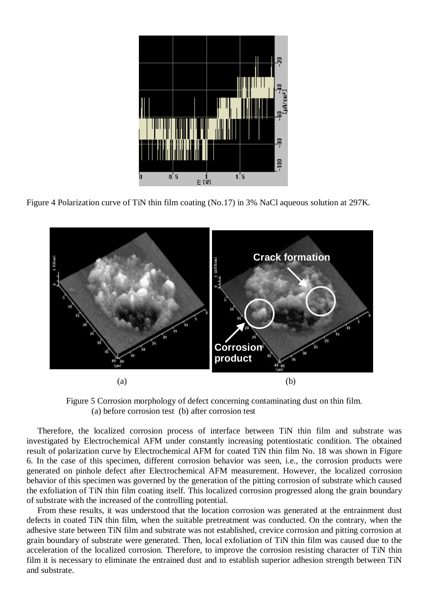

Figure 4 Polarization curve of TiN thin film coating (No.17) in 3% NaCl aqueous solution at 297K.



Figure 5 Corrosion morphology of defect concerning contaminating dust on thin film. (a) before corrosion test (b) after corrosion test

 Therefore, the localized corrosion process of interface between TiN thin film and substrate was investigated by Electrochemical AFM under constantly increasing potentiostatic condition. The obtained result of polarization curve by Electrochemical AFM for coated TiN thin film No. 18 was shown in Figure 6. In the case of this specimen, different corrosion behavior was seen, i.e., the corrosion products were generated on pinhole defect after Electrochemical AFM measurement. However, the localized corrosion behavior of this specimen was governed by the generation of the pitting corrosion of substrate which caused the exfoliation of TiN thin film coating itself. This localized corrosion progressed along the grain boundary of substrate with the increased of the controlling potential.

 From these results, it was understood that the location corrosion was generated at the entrainment dust defects in coated TiN thin film, when the suitable pretreatment was conducted. On the contrary, when the adhesive state between TiN film and substrate was not established, crevice corrosion and pitting corrosion at grain boundary of substrate were generated. Then, local exfoliation of TiN thin film was caused due to the acceleration of the localized corrosion. Therefore, to improve the corrosion resisting character of TiN thin film it is necessary to eliminate the entrained dust and to establish superior adhesion strength between TiN and substrate.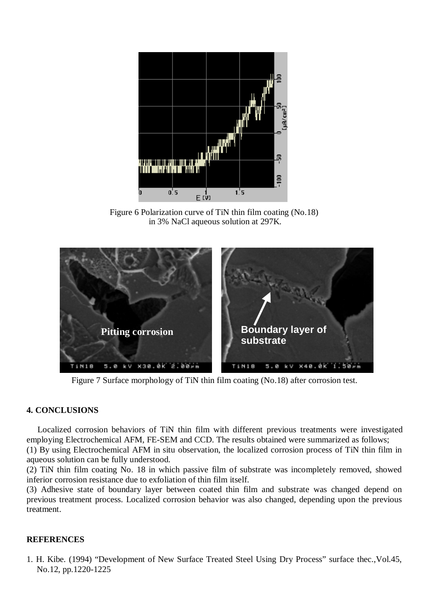

Figure 6 Polarization curve of TiN thin film coating (No.18) in 3% NaCl aqueous solution at 297K.



Figure 7 Surface morphology of TiN thin film coating (No.18) after corrosion test.

# **4. CONCLUSIONS**

 Localized corrosion behaviors of TiN thin film with different previous treatments were investigated employing Electrochemical AFM, FE-SEM and CCD. The results obtained were summarized as follows; (1) By using Electrochemical AFM in situ observation, the localized corrosion process of TiN thin film in aqueous solution can be fully understood.

(2) TiN thin film coating No. 18 in which passive film of substrate was incompletely removed, showed inferior corrosion resistance due to exfoliation of thin film itself.

(3) Adhesive state of boundary layer between coated thin film and substrate was changed depend on previous treatment process. Localized corrosion behavior was also changed, depending upon the previous treatment.

# **REFERENCES**

1. H. Kibe. (1994) "Development of New Surface Treated Steel Using Dry Process" surface thec.,Vol.45, No.12, pp.1220-1225